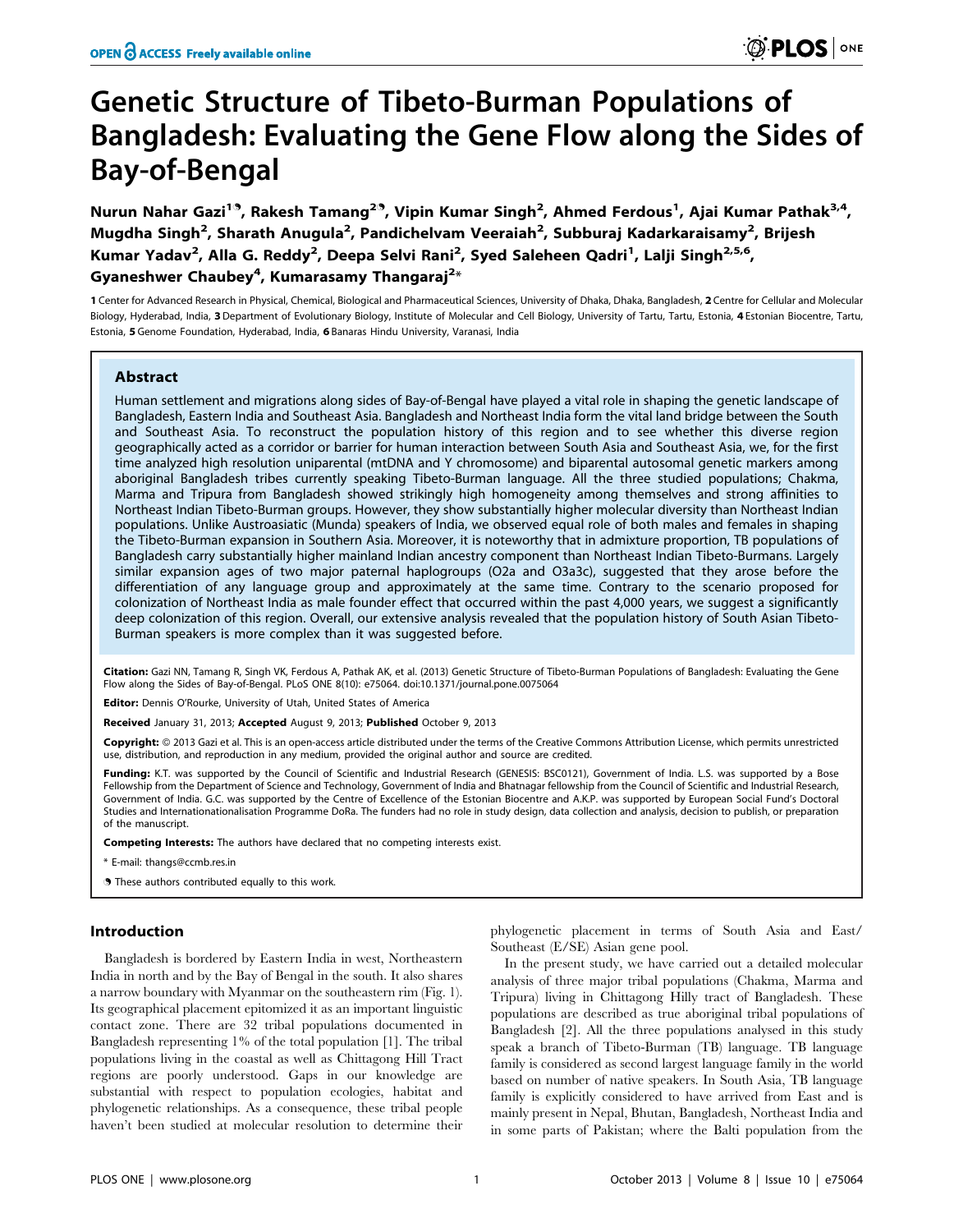# Genetic Structure of Tibeto-Burman Populations of Bangladesh: Evaluating the Gene Flow along the Sides of Bay-of-Bengal

Nurun Nahar Gazi<sup>19</sup>, Rakesh Tamang<sup>29</sup>, Vipin Kumar Singh<sup>2</sup>, Ahmed Ferdous<sup>1</sup>, Ajai Kumar Pathak<sup>3,4</sup>, Mugdha Singh<sup>2</sup>, Sharath Anugula<sup>2</sup>, Pandichelvam Veeraiah<sup>2</sup>, Subburaj Kadarkaraisamy<sup>2</sup>, Brijesh Kumar Yadav<sup>2</sup>, Alla G. Reddy<sup>2</sup>, Deepa Selvi Rani<sup>2</sup>, Syed Saleheen Qadri<sup>1</sup>, Lalji Singh<sup>2,5,6</sup>, Gyaneshwer Chaubey $^4$ , Kumarasamy Thangaraj $^{2\ast}$ 

1 Center for Advanced Research in Physical, Chemical, Biological and Pharmaceutical Sciences, University of Dhaka, Dhaka, Bangladesh, 2 Centre for Cellular and Molecular Biology, Hyderabad, India, 3 Department of Evolutionary Biology, Institute of Molecular and Cell Biology, University of Tartu, Tartu, Estonia, 4 Estonian Biocentre, Tartu, Estonia, 5 Genome Foundation, Hyderabad, India, 6 Banaras Hindu University, Varanasi, India

# Abstract

Human settlement and migrations along sides of Bay-of-Bengal have played a vital role in shaping the genetic landscape of Bangladesh, Eastern India and Southeast Asia. Bangladesh and Northeast India form the vital land bridge between the South and Southeast Asia. To reconstruct the population history of this region and to see whether this diverse region geographically acted as a corridor or barrier for human interaction between South Asia and Southeast Asia, we, for the first time analyzed high resolution uniparental (mtDNA and Y chromosome) and biparental autosomal genetic markers among aboriginal Bangladesh tribes currently speaking Tibeto-Burman language. All the three studied populations; Chakma, Marma and Tripura from Bangladesh showed strikingly high homogeneity among themselves and strong affinities to Northeast Indian Tibeto-Burman groups. However, they show substantially higher molecular diversity than Northeast Indian populations. Unlike Austroasiatic (Munda) speakers of India, we observed equal role of both males and females in shaping the Tibeto-Burman expansion in Southern Asia. Moreover, it is noteworthy that in admixture proportion, TB populations of Bangladesh carry substantially higher mainland Indian ancestry component than Northeast Indian Tibeto-Burmans. Largely similar expansion ages of two major paternal haplogroups (O2a and O3a3c), suggested that they arose before the differentiation of any language group and approximately at the same time. Contrary to the scenario proposed for colonization of Northeast India as male founder effect that occurred within the past 4,000 years, we suggest a significantly deep colonization of this region. Overall, our extensive analysis revealed that the population history of South Asian Tibeto-Burman speakers is more complex than it was suggested before.

Citation: Gazi NN, Tamang R, Singh VK, Ferdous A, Pathak AK, et al. (2013) Genetic Structure of Tibeto-Burman Populations of Bangladesh: Evaluating the Gene Flow along the Sides of Bay-of-Bengal. PLoS ONE 8(10): e75064. doi:10.1371/journal.pone.0075064

Editor: Dennis O'Rourke, University of Utah, United States of America

Received January 31, 2013; Accepted August 9, 2013; Published October 9, 2013

Copyright: © 2013 Gazi et al. This is an open-access article distributed under the terms of the Creative Commons Attribution License, which permits unrestricted use, distribution, and reproduction in any medium, provided the original author and source are credited.

Funding: K.T. was supported by the Council of Scientific and Industrial Research (GENESIS: BSC0121), Government of India. L.S. was supported by a Bose Fellowship from the Department of Science and Technology, Government of India and Bhatnagar fellowship from the Council of Scientific and Industrial Research, Government of India. G.C. was supported by the Centre of Excellence of the Estonian Biocentre and A.K.P. was supported by European Social Fund's Doctoral Studies and Internationationalisation Programme DoRa. The funders had no role in study design, data collection and analysis, decision to publish, or preparation of the manuscript.

Competing Interests: The authors have declared that no competing interests exist.

\* E-mail: thangs@ccmb.res.in

. These authors contributed equally to this work.

## Introduction

Bangladesh is bordered by Eastern India in west, Northeastern India in north and by the Bay of Bengal in the south. It also shares a narrow boundary with Myanmar on the southeastern rim (Fig. 1). Its geographical placement epitomized it as an important linguistic contact zone. There are 32 tribal populations documented in Bangladesh representing 1% of the total population [1]. The tribal populations living in the coastal as well as Chittagong Hill Tract regions are poorly understood. Gaps in our knowledge are substantial with respect to population ecologies, habitat and phylogenetic relationships. As a consequence, these tribal people haven't been studied at molecular resolution to determine their

phylogenetic placement in terms of South Asia and East/ Southeast (E/SE) Asian gene pool.

In the present study, we have carried out a detailed molecular analysis of three major tribal populations (Chakma, Marma and Tripura) living in Chittagong Hilly tract of Bangladesh. These populations are described as true aboriginal tribal populations of Bangladesh [2]. All the three populations analysed in this study speak a branch of Tibeto-Burman (TB) language. TB language family is considered as second largest language family in the world based on number of native speakers. In South Asia, TB language family is explicitly considered to have arrived from East and is mainly present in Nepal, Bhutan, Bangladesh, Northeast India and in some parts of Pakistan; where the Balti population from the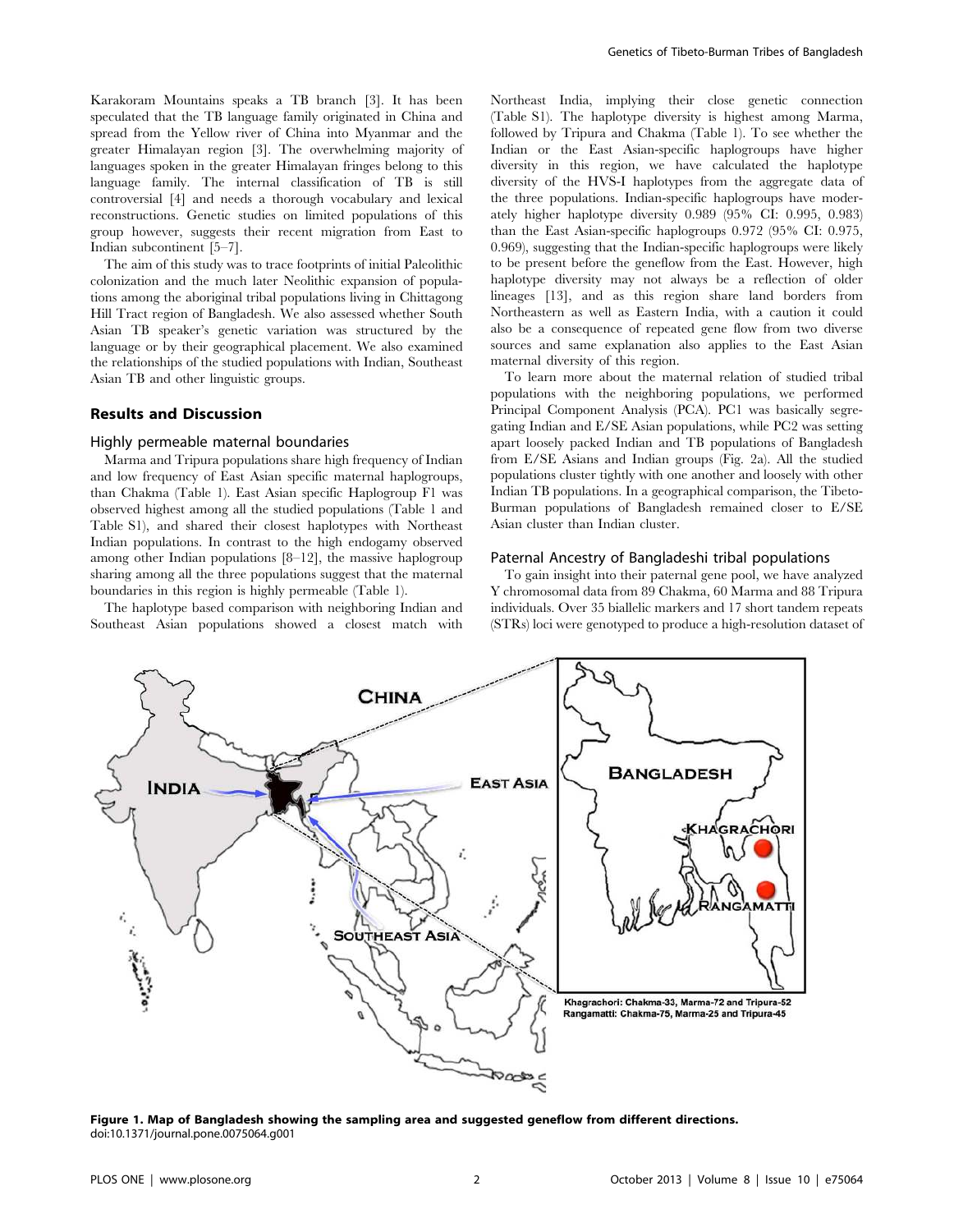Karakoram Mountains speaks a TB branch [3]. It has been speculated that the TB language family originated in China and spread from the Yellow river of China into Myanmar and the greater Himalayan region [3]. The overwhelming majority of languages spoken in the greater Himalayan fringes belong to this language family. The internal classification of TB is still controversial [4] and needs a thorough vocabulary and lexical reconstructions. Genetic studies on limited populations of this group however, suggests their recent migration from East to Indian subcontinent [5–7].

The aim of this study was to trace footprints of initial Paleolithic colonization and the much later Neolithic expansion of populations among the aboriginal tribal populations living in Chittagong Hill Tract region of Bangladesh. We also assessed whether South Asian TB speaker's genetic variation was structured by the language or by their geographical placement. We also examined the relationships of the studied populations with Indian, Southeast Asian TB and other linguistic groups.

## Results and Discussion

#### Highly permeable maternal boundaries

Marma and Tripura populations share high frequency of Indian and low frequency of East Asian specific maternal haplogroups, than Chakma (Table 1). East Asian specific Haplogroup F1 was observed highest among all the studied populations (Table 1 and Table S1), and shared their closest haplotypes with Northeast Indian populations. In contrast to the high endogamy observed among other Indian populations [8–12], the massive haplogroup sharing among all the three populations suggest that the maternal boundaries in this region is highly permeable (Table 1).

The haplotype based comparison with neighboring Indian and Southeast Asian populations showed a closest match with

Northeast India, implying their close genetic connection (Table S1). The haplotype diversity is highest among Marma, followed by Tripura and Chakma (Table 1). To see whether the Indian or the East Asian-specific haplogroups have higher diversity in this region, we have calculated the haplotype diversity of the HVS-I haplotypes from the aggregate data of the three populations. Indian-specific haplogroups have moderately higher haplotype diversity 0.989 (95% CI: 0.995, 0.983) than the East Asian-specific haplogroups 0.972 (95% CI: 0.975, 0.969), suggesting that the Indian-specific haplogroups were likely to be present before the geneflow from the East. However, high haplotype diversity may not always be a reflection of older lineages [13], and as this region share land borders from Northeastern as well as Eastern India, with a caution it could also be a consequence of repeated gene flow from two diverse sources and same explanation also applies to the East Asian maternal diversity of this region.

To learn more about the maternal relation of studied tribal populations with the neighboring populations, we performed Principal Component Analysis (PCA). PC1 was basically segregating Indian and E/SE Asian populations, while PC2 was setting apart loosely packed Indian and TB populations of Bangladesh from E/SE Asians and Indian groups (Fig. 2a). All the studied populations cluster tightly with one another and loosely with other Indian TB populations. In a geographical comparison, the Tibeto-Burman populations of Bangladesh remained closer to E/SE Asian cluster than Indian cluster.

## Paternal Ancestry of Bangladeshi tribal populations

To gain insight into their paternal gene pool, we have analyzed Y chromosomal data from 89 Chakma, 60 Marma and 88 Tripura individuals. Over 35 biallelic markers and 17 short tandem repeats (STRs) loci were genotyped to produce a high-resolution dataset of



Figure 1. Map of Bangladesh showing the sampling area and suggested geneflow from different directions. doi:10.1371/journal.pone.0075064.g001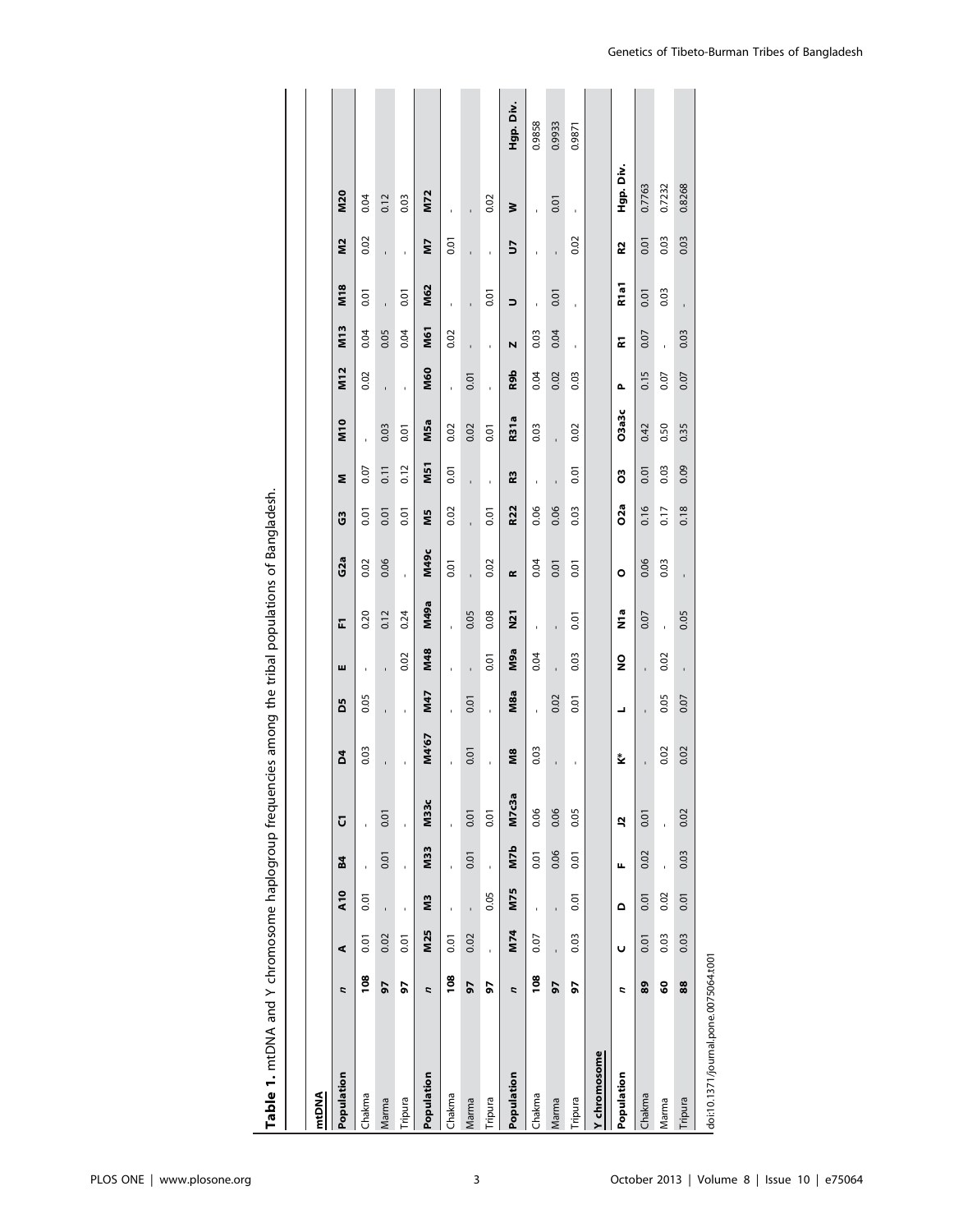| mtDNA                                 |                |                |            |      |             |       |      |      |            |             |                 |            |                 |            |                 |                  |           |            |           |
|---------------------------------------|----------------|----------------|------------|------|-------------|-------|------|------|------------|-------------|-----------------|------------|-----------------|------------|-----------------|------------------|-----------|------------|-----------|
| Population                            | r,             | ⋖              | <b>A10</b> | 84   | Ū           | ð,    | 50   | ш    | E          | G2a         | G               | Σ          | M <sub>10</sub> | M12        | M <sub>13</sub> | M <sub>18</sub>  | <b>SZ</b> | <b>M20</b> |           |
| Chakma                                | 108            | 0.01           | 0.01       |      |             | 0.03  | 0.05 |      | 0.20       | 0.02        | 0.01            | 0.07       |                 | 0.02       | 0.04            | 0.01             | 0.02      | 0.04       |           |
| Marma                                 | 57             | 0.02           |            | 0.01 | 0.01        |       | ï    | ï    | 0.12       | 0.06        | 0.01            | 0.11       | 0.03            | ï          | 0.05            |                  | ï         | 0.12       |           |
| Tripura                               | 56             | 0.01           | ï          | ï    | ï           | ı     | ï    | 0.02 | 0.24       | ï           | 0.01            | 0.12       | 0.01            | ï          | 0.04            | 0.01             | ï         | 0.03       |           |
| Population                            | r,             | M25            | ΣM         | M33  | <b>M33c</b> | M4'67 | M47  | M48  | M49a       | <b>M49c</b> | Μ5              | <b>N51</b> | M5a             | <b>M60</b> | <b>M61</b>      | M62              | ZN        | <b>M72</b> |           |
| Chakma                                | $\frac{8}{2}$  | 0.01           | ï          | ï    | ï           | ï     | ï    | ï    | ï          | 0.01        | 0.02            | 0.01       | 0.02            | ï          | 0.02            | ï                | 0.01      | ï          |           |
| Marma                                 | 57             | 0.02           |            | 0.01 | 0.01        | 0.01  | 0.01 | í.   | 0.05       |             |                 | í.         | 0.02            | 0.01       |                 |                  |           |            |           |
| Tripura                               | 56             | ï              | 0.05       | ï    | 0.01        | ï     | ï    | 0.01 | 0.08       | 0.02        | 0.01            | ï          | 0.01            | ï          | ï               | 0.01             | ï         | 0.02       |           |
| Population                            | r,             | M74            | M75        | M7b  | M7c3a       | М8    | M8a  | M9a  | <b>N21</b> | $\alpha$    | R22             | R3         | <b>R31a</b>     | R9b        | N               | $\Rightarrow$    | 5         | ₹          | Hgp. Div. |
| Chakma                                | $\frac{80}{2}$ | 0.07           | í,         | 0.01 | 0.06        | 0.03  | ï    | 0.04 |            | 0.04        | 0.06            | Î,         | 0.03            | 0.04       | 0.03            |                  |           |            | 0.9858    |
| Marma                                 | 50             | $\overline{1}$ | ï          | 0.06 | 0.06        |       | 0.02 |      | ï          | 0.01        | 0.06            | ï          | ï               | 0.02       | 0.04            | 0.01             | ï         | 0.01       | 0.9933    |
| Tripura                               | 50             | 0.03           | 0.01       | 0.01 | 0.05        | ı     | 0.01 | 0.03 | 0.01       | 0.01        | 0.03            | 0.01       | 0.02            | 0.03       | ï               | ı,               | 0.02      | ï          | 0.9871    |
| Y chromosome                          |                |                |            |      |             |       |      |      |            |             |                 |            |                 |            |                 |                  |           |            |           |
| Population                            | z              | Ü              | $\Omega$   | щ    | 5           | ₹     | ┙    | g    | n<br>Z     | $\circ$     | O <sub>2a</sub> | ő          | O3a3c           | Δ.         | E               | R <sub>1a1</sub> | R2        | Hgp. Div.  |           |
| Chakma                                | 89             | 0.01           | 0.01       | 0.02 | 0.01        |       |      | l,   | 0.07       | 0.06        | 0.16            | 0.01       | 0.42            | 0.15       | 0.07            | 0.01             | 0.01      | 0.7763     |           |
| Marma                                 | <b>S</b>       | 0.03           | 0.02       | ï    | ï           | 0.02  | 0.05 | 0.02 | ï          | 0.03        | 0.17            | 0.03       | 0.50            | 0.07       | ï               | 0.03             | 0.03      | 0.7232     |           |
| Tripura                               | 88             | 0.03           | 0.01       | 0.03 | 0.02        | 0.02  | 0.07 | ı,   | 0.05       | ĭ.          | 0.18            | 0.09       | 0.35            | 0.07       | 0.03            |                  | 0.03      | 0.8268     |           |
| doi:10.1371/journal.pone.0075064.t001 |                |                |            |      |             |       |      |      |            |             |                 |            |                 |            |                 |                  |           |            |           |

Table 1. mtDNA and Y chromosome haplogroup frequencies among the tribal populations of Bangladesh. Table 1. mtDNA and Y chromosome haplogroup frequencies among the tribal populations of Bangladesh.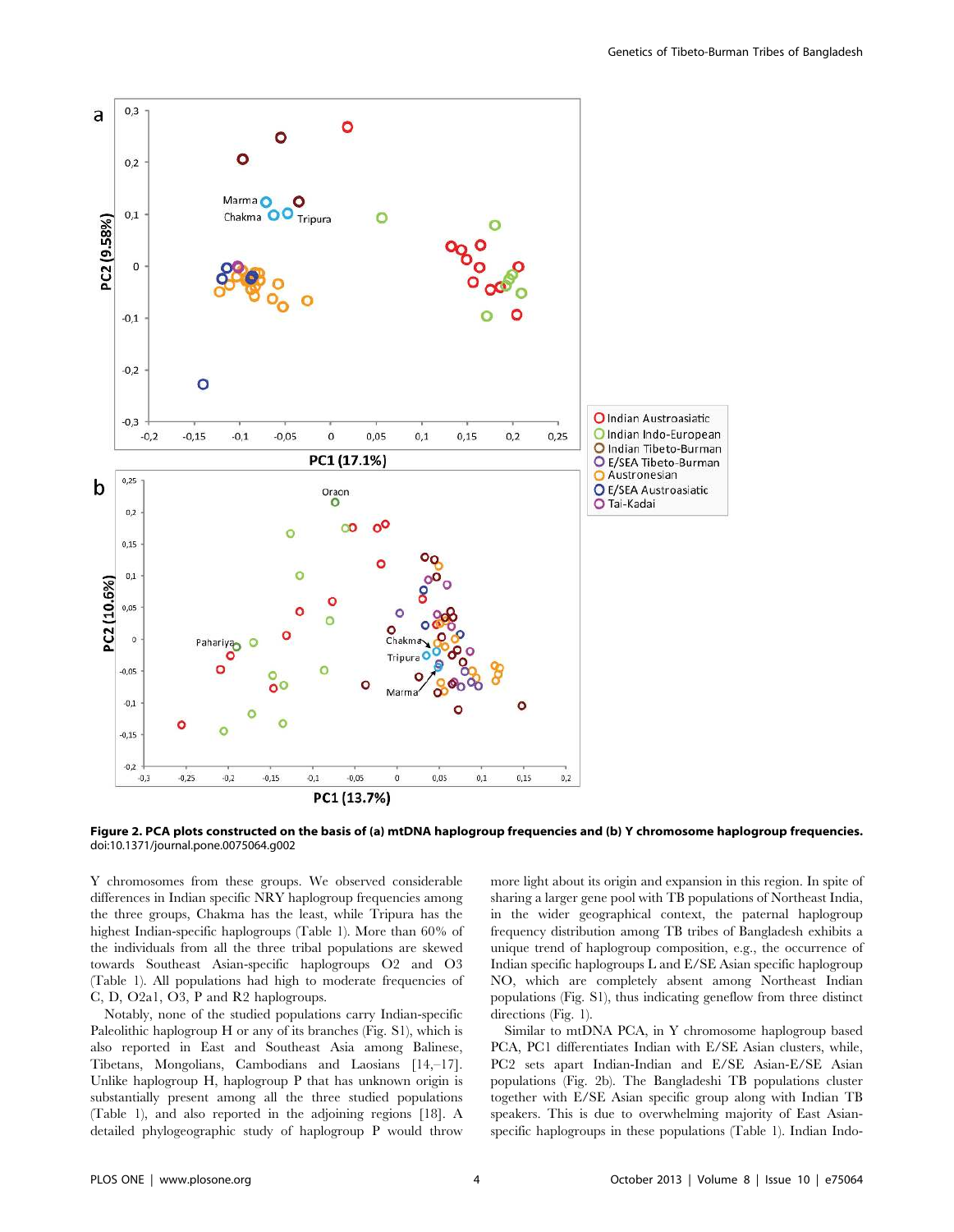

Figure 2. PCA plots constructed on the basis of (a) mtDNA haplogroup frequencies and (b) Y chromosome haplogroup frequencies. doi:10.1371/journal.pone.0075064.g002

Y chromosomes from these groups. We observed considerable differences in Indian specific NRY haplogroup frequencies among the three groups, Chakma has the least, while Tripura has the highest Indian-specific haplogroups (Table 1). More than 60% of the individuals from all the three tribal populations are skewed towards Southeast Asian-specific haplogroups O2 and O3 (Table 1). All populations had high to moderate frequencies of C, D, O2a1, O3, P and R2 haplogroups.

Notably, none of the studied populations carry Indian-specific Paleolithic haplogroup H or any of its branches (Fig. S1), which is also reported in East and Southeast Asia among Balinese, Tibetans, Mongolians, Cambodians and Laosians [14,–17]. Unlike haplogroup H, haplogroup P that has unknown origin is substantially present among all the three studied populations (Table 1), and also reported in the adjoining regions [18]. A detailed phylogeographic study of haplogroup P would throw more light about its origin and expansion in this region. In spite of sharing a larger gene pool with TB populations of Northeast India, in the wider geographical context, the paternal haplogroup frequency distribution among TB tribes of Bangladesh exhibits a unique trend of haplogroup composition, e.g., the occurrence of Indian specific haplogroups L and E/SE Asian specific haplogroup NO, which are completely absent among Northeast Indian populations (Fig. S1), thus indicating geneflow from three distinct directions (Fig. 1).

Similar to mtDNA PCA, in Y chromosome haplogroup based PCA, PC1 differentiates Indian with E/SE Asian clusters, while, PC2 sets apart Indian-Indian and E/SE Asian-E/SE Asian populations (Fig. 2b). The Bangladeshi TB populations cluster together with E/SE Asian specific group along with Indian TB speakers. This is due to overwhelming majority of East Asianspecific haplogroups in these populations (Table 1). Indian Indo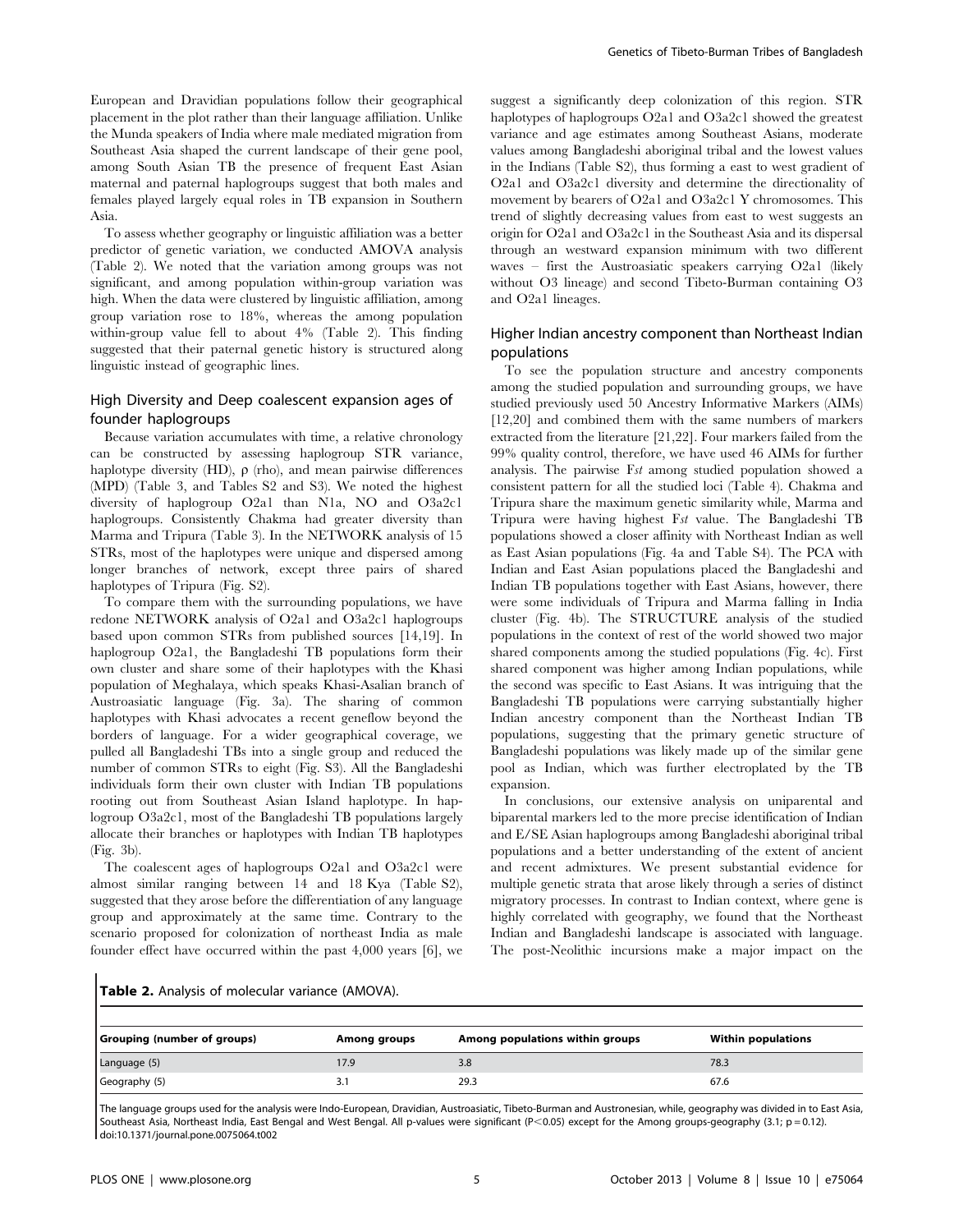European and Dravidian populations follow their geographical placement in the plot rather than their language affiliation. Unlike the Munda speakers of India where male mediated migration from Southeast Asia shaped the current landscape of their gene pool, among South Asian TB the presence of frequent East Asian maternal and paternal haplogroups suggest that both males and females played largely equal roles in TB expansion in Southern Asia.

To assess whether geography or linguistic affiliation was a better predictor of genetic variation, we conducted AMOVA analysis (Table 2). We noted that the variation among groups was not significant, and among population within-group variation was high. When the data were clustered by linguistic affiliation, among group variation rose to 18%, whereas the among population within-group value fell to about 4% (Table 2). This finding suggested that their paternal genetic history is structured along linguistic instead of geographic lines.

# High Diversity and Deep coalescent expansion ages of founder haplogroups

Because variation accumulates with time, a relative chronology can be constructed by assessing haplogroup STR variance, haplotype diversity (HD),  $\rho$  (rho), and mean pairwise differences (MPD) (Table 3, and Tables S2 and S3). We noted the highest diversity of haplogroup O2a1 than N1a, NO and O3a2c1 haplogroups. Consistently Chakma had greater diversity than Marma and Tripura (Table 3). In the NETWORK analysis of 15 STRs, most of the haplotypes were unique and dispersed among longer branches of network, except three pairs of shared haplotypes of Tripura (Fig. S2).

To compare them with the surrounding populations, we have redone NETWORK analysis of O2a1 and O3a2c1 haplogroups based upon common STRs from published sources [14,19]. In haplogroup O2a1, the Bangladeshi TB populations form their own cluster and share some of their haplotypes with the Khasi population of Meghalaya, which speaks Khasi-Asalian branch of Austroasiatic language (Fig. 3a). The sharing of common haplotypes with Khasi advocates a recent geneflow beyond the borders of language. For a wider geographical coverage, we pulled all Bangladeshi TBs into a single group and reduced the number of common STRs to eight (Fig. S3). All the Bangladeshi individuals form their own cluster with Indian TB populations rooting out from Southeast Asian Island haplotype. In haplogroup O3a2c1, most of the Bangladeshi TB populations largely allocate their branches or haplotypes with Indian TB haplotypes (Fig. 3b).

The coalescent ages of haplogroups O2a1 and O3a2c1 were almost similar ranging between 14 and 18 Kya (Table S2), suggested that they arose before the differentiation of any language group and approximately at the same time. Contrary to the scenario proposed for colonization of northeast India as male founder effect have occurred within the past 4,000 years [6], we

suggest a significantly deep colonization of this region. STR haplotypes of haplogroups O2a1 and O3a2c1 showed the greatest variance and age estimates among Southeast Asians, moderate values among Bangladeshi aboriginal tribal and the lowest values in the Indians (Table S2), thus forming a east to west gradient of O2a1 and O3a2c1 diversity and determine the directionality of movement by bearers of O2a1 and O3a2c1 Y chromosomes. This trend of slightly decreasing values from east to west suggests an origin for O2a1 and O3a2c1 in the Southeast Asia and its dispersal through an westward expansion minimum with two different waves – first the Austroasiatic speakers carrying O2a1 (likely without O3 lineage) and second Tibeto-Burman containing O3 and O2a1 lineages.

# Higher Indian ancestry component than Northeast Indian populations

To see the population structure and ancestry components among the studied population and surrounding groups, we have studied previously used 50 Ancestry Informative Markers (AIMs) [12,20] and combined them with the same numbers of markers extracted from the literature [21,22]. Four markers failed from the 99% quality control, therefore, we have used 46 AIMs for further analysis. The pairwise Fst among studied population showed a consistent pattern for all the studied loci (Table 4). Chakma and Tripura share the maximum genetic similarity while, Marma and Tripura were having highest Fst value. The Bangladeshi TB populations showed a closer affinity with Northeast Indian as well as East Asian populations (Fig. 4a and Table S4). The PCA with Indian and East Asian populations placed the Bangladeshi and Indian TB populations together with East Asians, however, there were some individuals of Tripura and Marma falling in India cluster (Fig. 4b). The STRUCTURE analysis of the studied populations in the context of rest of the world showed two major shared components among the studied populations (Fig. 4c). First shared component was higher among Indian populations, while the second was specific to East Asians. It was intriguing that the Bangladeshi TB populations were carrying substantially higher Indian ancestry component than the Northeast Indian TB populations, suggesting that the primary genetic structure of Bangladeshi populations was likely made up of the similar gene pool as Indian, which was further electroplated by the TB expansion.

In conclusions, our extensive analysis on uniparental and biparental markers led to the more precise identification of Indian and E/SE Asian haplogroups among Bangladeshi aboriginal tribal populations and a better understanding of the extent of ancient and recent admixtures. We present substantial evidence for multiple genetic strata that arose likely through a series of distinct migratory processes. In contrast to Indian context, where gene is highly correlated with geography, we found that the Northeast Indian and Bangladeshi landscape is associated with language. The post-Neolithic incursions make a major impact on the

|  |  | Table 2. Analysis of molecular variance (AMOVA). |  |  |
|--|--|--------------------------------------------------|--|--|
|--|--|--------------------------------------------------|--|--|

| Grouping (number of groups) | <b>Among groups</b> | Among populations within groups | <b>Within populations</b> |
|-----------------------------|---------------------|---------------------------------|---------------------------|
| Language (5)                | 17.9                | 3.8                             | 78.3                      |
| Geography (5)               | J.I                 | 29.3                            | 67.6                      |

The language groups used for the analysis were Indo-European, Dravidian, Austroasiatic, Tibeto-Burman and Austronesian, while, geography was divided in to East Asia, Southeast Asia, Northeast India, East Bengal and West Bengal. All p-values were significant (P<0.05) except for the Among groups-geography (3.1; p = 0.12). doi:10.1371/journal.pone.0075064.t002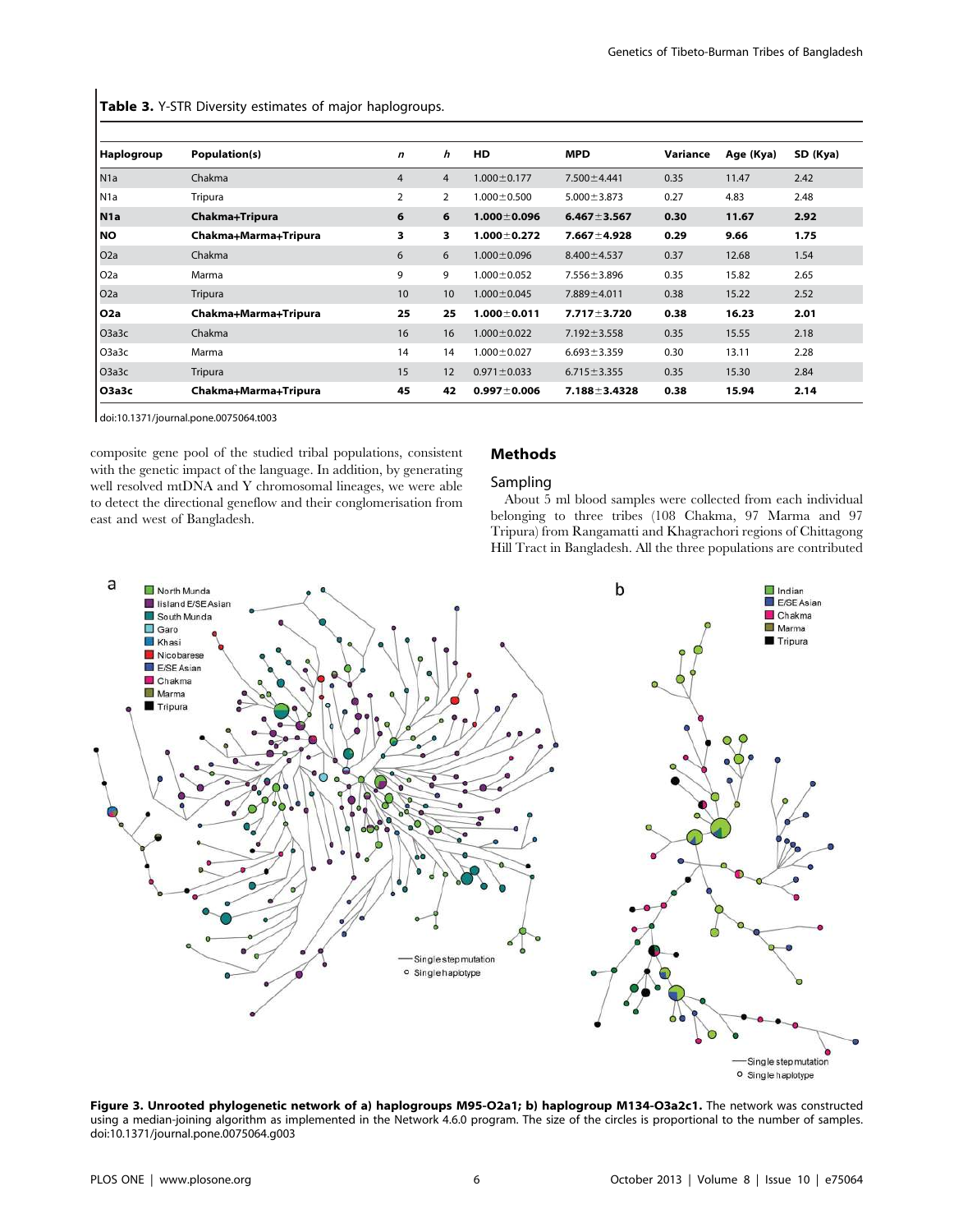Table 3. Y-STR Diversity estimates of major haplogroups.

| Haplogroup       | Population(s)        | $\mathbf n$    | h              | <b>HD</b>         | <b>MPD</b>         | Variance | Age (Kya) | SD (Kya) |
|------------------|----------------------|----------------|----------------|-------------------|--------------------|----------|-----------|----------|
| N1a              | Chakma               | 4              | $\overline{4}$ | $1.000 \pm 0.177$ | $7.500 \pm 4.441$  | 0.35     | 11.47     | 2.42     |
| l N1a            | Tripura              | $\overline{2}$ | $\overline{2}$ | $1.000 \pm 0.500$ | $5.000 \pm 3.873$  | 0.27     | 4.83      | 2.48     |
| N <sub>1</sub> a | Chakma+Tripura       | 6              | 6              | $1.000 \pm 0.096$ | $6.467 \pm 3.567$  | 0.30     | 11.67     | 2.92     |
| <b>NO</b>        | Chakma+Marma+Tripura | 3              | 3              | $1.000 \pm 0.272$ | $7.667 \pm 4.928$  | 0.29     | 9.66      | 1.75     |
| O <sub>2</sub> a | Chakma               | 6              | 6              | $1.000 \pm 0.096$ | $8.400 \pm 4.537$  | 0.37     | 12.68     | 1.54     |
| O <sub>2</sub> a | Marma                | 9              | 9              | $1.000 \pm 0.052$ | $7.556 \pm 3.896$  | 0.35     | 15.82     | 2.65     |
| O <sub>2</sub> a | Tripura              | 10             | 10             | $1.000 \pm 0.045$ | $7.889 \pm 4.011$  | 0.38     | 15.22     | 2.52     |
| O <sub>2</sub> a | Chakma+Marma+Tripura | 25             | 25             | $1.000 \pm 0.011$ | $7.717 \pm 3.720$  | 0.38     | 16.23     | 2.01     |
| O3a3c            | Chakma               | 16             | 16             | $1.000 \pm 0.022$ | $7.192 \pm 3.558$  | 0.35     | 15.55     | 2.18     |
| O3a3c            | Marma                | 14             | 14             | $1.000 \pm 0.027$ | $6.693 \pm 3.359$  | 0.30     | 13.11     | 2.28     |
| O3a3c            | Tripura              | 15             | 12             | $0.971 \pm 0.033$ | $6.715 \pm 3.355$  | 0.35     | 15.30     | 2.84     |
| <b>O3a3c</b>     | Chakma+Marma+Tripura | 45             | 42             | $0.997 + 0.006$   | $7.188 \pm 3.4328$ | 0.38     | 15.94     | 2.14     |

doi:10.1371/journal.pone.0075064.t003

composite gene pool of the studied tribal populations, consistent with the genetic impact of the language. In addition, by generating well resolved mtDNA and Y chromosomal lineages, we were able to detect the directional geneflow and their conglomerisation from east and west of Bangladesh.

# Methods

# Sampling

About 5 ml blood samples were collected from each individual belonging to three tribes (108 Chakma, 97 Marma and 97 Tripura) from Rangamatti and Khagrachori regions of Chittagong Hill Tract in Bangladesh. All the three populations are contributed



Figure 3. Unrooted phylogenetic network of a) haplogroups M95-O2a1; b) haplogroup M134-O3a2c1. The network was constructed using a median-joining algorithm as implemented in the Network 4.6.0 program. The size of the circles is proportional to the number of samples. doi:10.1371/journal.pone.0075064.g003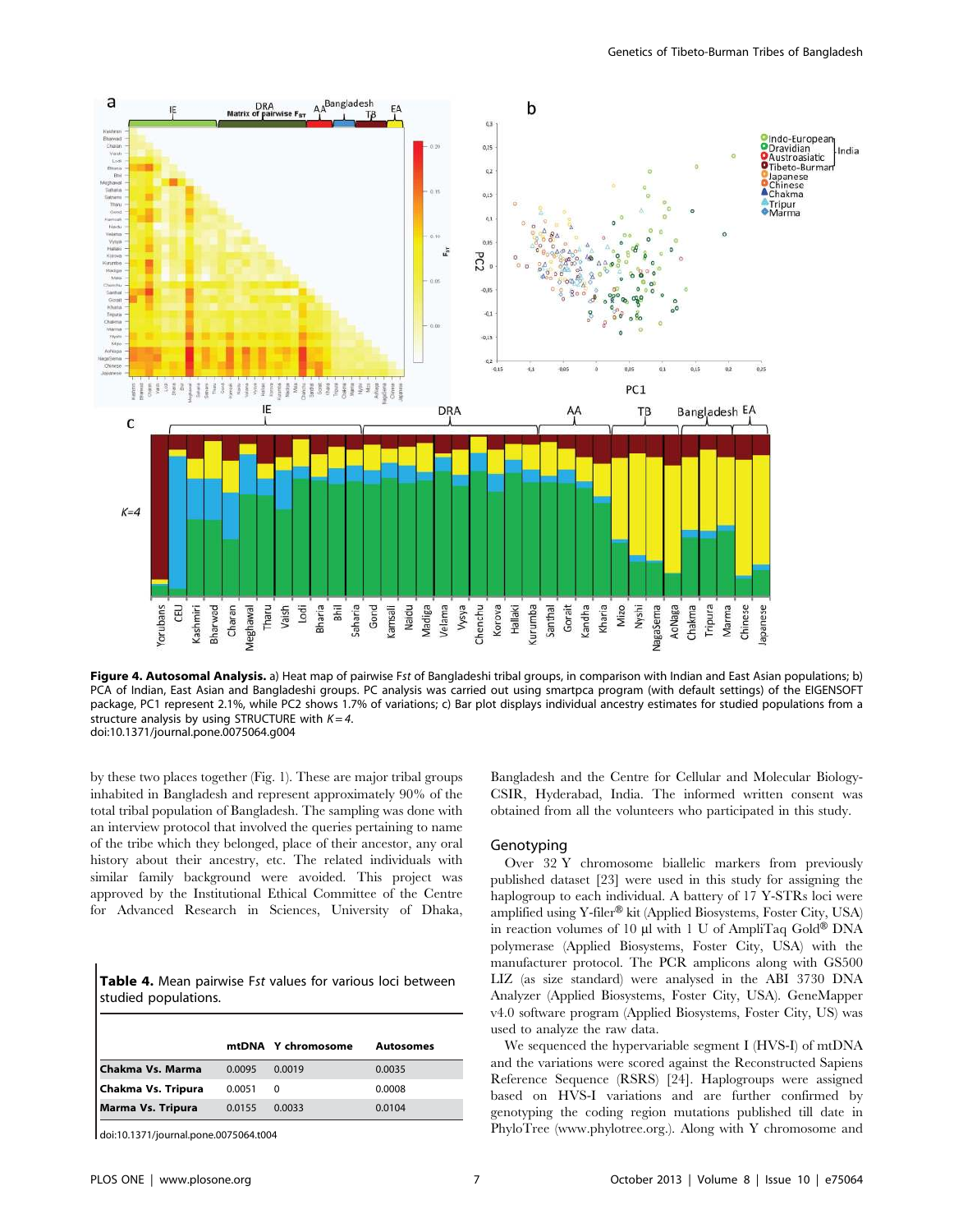

Figure 4. Autosomal Analysis. a) Heat map of pairwise Fst of Bangladeshi tribal groups, in comparison with Indian and East Asian populations; b) PCA of Indian, East Asian and Bangladeshi groups. PC analysis was carried out using smartpca program (with default settings) of the EIGENSOFT package, PC1 represent 2.1%, while PC2 shows 1.7% of variations; c) Bar plot displays individual ancestry estimates for studied populations from a structure analysis by using STRUCTURE with  $K = 4$ . doi:10.1371/journal.pone.0075064.g004

by these two places together (Fig. 1). These are major tribal groups inhabited in Bangladesh and represent approximately 90% of the total tribal population of Bangladesh. The sampling was done with an interview protocol that involved the queries pertaining to name of the tribe which they belonged, place of their ancestor, any oral history about their ancestry, etc. The related individuals with similar family background were avoided. This project was approved by the Institutional Ethical Committee of the Centre for Advanced Research in Sciences, University of Dhaka,

| <b>Table 4.</b> Mean pairwise Fst values for various loci between |  |  |
|-------------------------------------------------------------------|--|--|
| studied populations.                                              |  |  |

| <b>Autosomes</b> |
|------------------|
|                  |
|                  |
|                  |
|                  |

doi:10.1371/journal.pone.0075064.t004

Bangladesh and the Centre for Cellular and Molecular Biology-CSIR, Hyderabad, India. The informed written consent was obtained from all the volunteers who participated in this study.

#### Genotyping

Over 32 Y chromosome biallelic markers from previously published dataset [23] were used in this study for assigning the haplogroup to each individual. A battery of 17 Y-STRs loci were amplified using Y-filer® kit (Applied Biosystems, Foster City, USA) in reaction volumes of 10  $\mu$ l with 1 U of AmpliTaq Gold® DNA polymerase (Applied Biosystems, Foster City, USA) with the manufacturer protocol. The PCR amplicons along with GS500 LIZ (as size standard) were analysed in the ABI 3730 DNA Analyzer (Applied Biosystems, Foster City, USA). GeneMapper v4.0 software program (Applied Biosystems, Foster City, US) was used to analyze the raw data.

We sequenced the hypervariable segment I (HVS-I) of mtDNA and the variations were scored against the Reconstructed Sapiens Reference Sequence (RSRS) [24]. Haplogroups were assigned based on HVS-I variations and are further confirmed by genotyping the coding region mutations published till date in PhyloTree (www.phylotree.org.). Along with Y chromosome and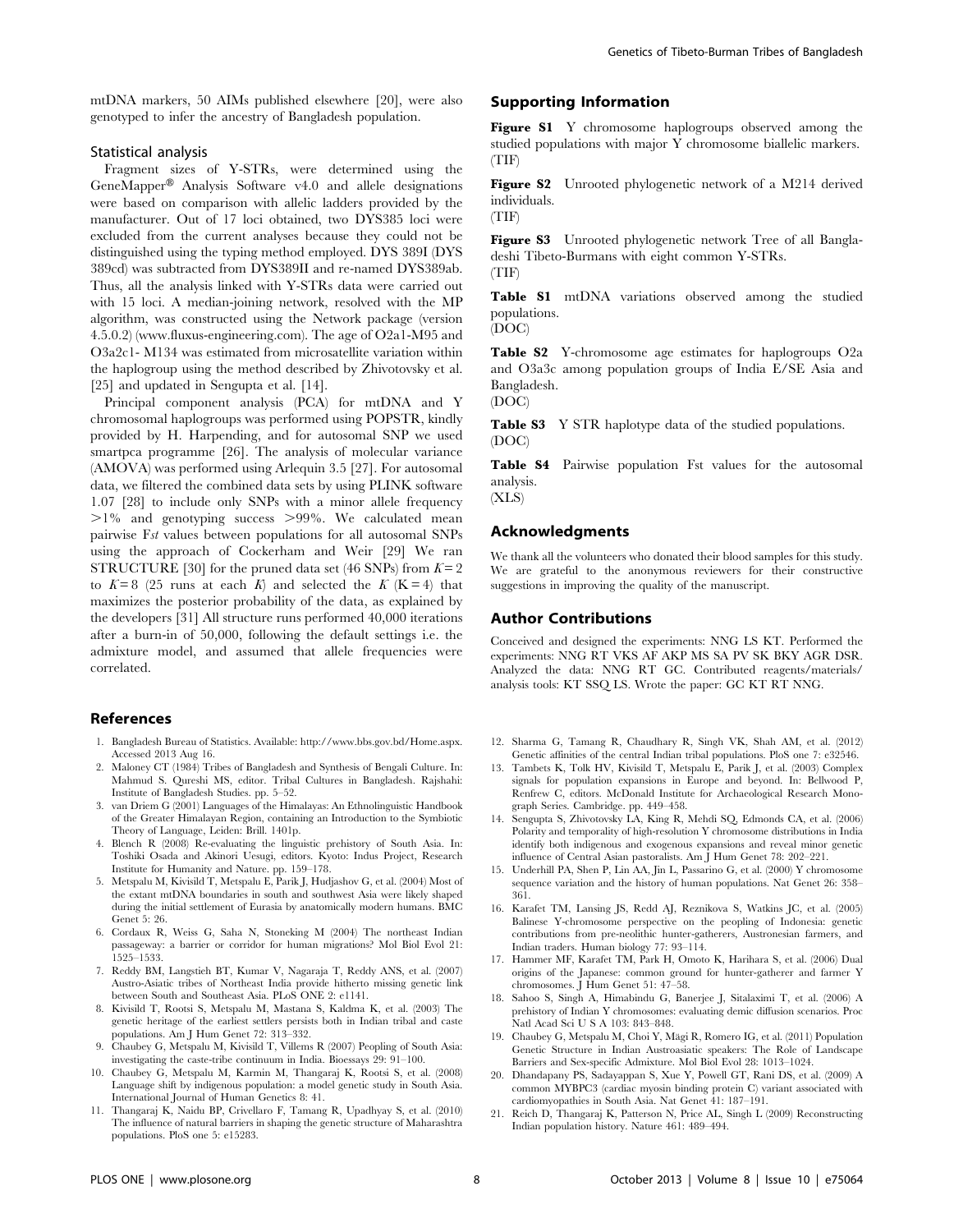mtDNA markers, 50 AIMs published elsewhere [20], were also genotyped to infer the ancestry of Bangladesh population.

## Statistical analysis

Fragment sizes of Y-STRs, were determined using the  $GeneMapper^®$  Analysis Software v4.0 and allele designations were based on comparison with allelic ladders provided by the manufacturer. Out of 17 loci obtained, two DYS385 loci were excluded from the current analyses because they could not be distinguished using the typing method employed. DYS 389I (DYS 389cd) was subtracted from DYS389II and re-named DYS389ab. Thus, all the analysis linked with Y-STRs data were carried out with 15 loci. A median-joining network, resolved with the MP algorithm, was constructed using the Network package (version 4.5.0.2) (www.fluxus-engineering.com). The age of O2a1-M95 and O3a2c1- M134 was estimated from microsatellite variation within the haplogroup using the method described by Zhivotovsky et al. [25] and updated in Sengupta et al. [14].

Principal component analysis (PCA) for mtDNA and Y chromosomal haplogroups was performed using POPSTR, kindly provided by H. Harpending, and for autosomal SNP we used smartpca programme [26]. The analysis of molecular variance (AMOVA) was performed using Arlequin 3.5 [27]. For autosomal data, we filtered the combined data sets by using PLINK software 1.07 [28] to include only SNPs with a minor allele frequency  $>1\%$  and genotyping success  $>99\%$ . We calculated mean pairwise Fst values between populations for all autosomal SNPs using the approach of Cockerham and Weir [29] We ran STRUCTURE [30] for the pruned data set (46 SNPs) from  $K = 2$ to  $K=8$  (25 runs at each K) and selected the K (K = 4) that maximizes the posterior probability of the data, as explained by the developers [31] All structure runs performed 40,000 iterations after a burn-in of 50,000, following the default settings i.e. the admixture model, and assumed that allele frequencies were correlated.

#### References

- 1. Bangladesh Bureau of Statistics. Available: http://www.bbs.gov.bd/Home.aspx. Accessed 2013 Aug 16.
- 2. Maloney CT (1984) Tribes of Bangladesh and Synthesis of Bengali Culture. In: Mahmud S. Qureshi MS, editor. Tribal Cultures in Bangladesh. Rajshahi: Institute of Bangladesh Studies. pp. 5–52.
- 3. van Driem G (2001) Languages of the Himalayas: An Ethnolinguistic Handbook of the Greater Himalayan Region, containing an Introduction to the Symbiotic Theory of Language, Leiden: Brill. 1401p.
- 4. Blench R (2008) Re-evaluating the linguistic prehistory of South Asia. In: Toshiki Osada and Akinori Uesugi, editors. Kyoto: Indus Project, Research Institute for Humanity and Nature. pp. 159–178.
- 5. Metspalu M, Kivisild T, Metspalu E, Parik J, Hudjashov G, et al. (2004) Most of the extant mtDNA boundaries in south and southwest Asia were likely shaped during the initial settlement of Eurasia by anatomically modern humans. BMC Genet 5: 26.
- 6. Cordaux R, Weiss G, Saha N, Stoneking M (2004) The northeast Indian passageway: a barrier or corridor for human migrations? Mol Biol Evol 21: 1525–1533.
- 7. Reddy BM, Langstieh BT, Kumar V, Nagaraja T, Reddy ANS, et al. (2007) Austro-Asiatic tribes of Northeast India provide hitherto missing genetic link between South and Southeast Asia. PLoS ONE 2: e1141.
- 8. Kivisild T, Rootsi S, Metspalu M, Mastana S, Kaldma K, et al. (2003) The genetic heritage of the earliest settlers persists both in Indian tribal and caste populations. Am J Hum Genet 72: 313–332.
- 9. Chaubey G, Metspalu M, Kivisild T, Villems R (2007) Peopling of South Asia: investigating the caste-tribe continuum in India. Bioessays 29: 91–100.
- 10. Chaubey G, Metspalu M, Karmin M, Thangaraj K, Rootsi S, et al. (2008) Language shift by indigenous population: a model genetic study in South Asia. International Journal of Human Genetics 8: 41.
- 11. Thangaraj K, Naidu BP, Crivellaro F, Tamang R, Upadhyay S, et al. (2010) The influence of natural barriers in shaping the genetic structure of Maharashtra populations. PloS one 5: e15283.

# Supporting Information

Figure S1 Y chromosome haplogroups observed among the studied populations with major Y chromosome biallelic markers. (TIF)

Figure S2 Unrooted phylogenetic network of a M214 derived individuals.

(TIF)

Figure S3 Unrooted phylogenetic network Tree of all Bangladeshi Tibeto-Burmans with eight common Y-STRs. (TIF)

Table S1 mtDNA variations observed among the studied populations.

(DOC)

Table S2 Y-chromosome age estimates for haplogroups O2a and O3a3c among population groups of India E/SE Asia and Bangladesh.

(DOC)

Table S3 Y STR haplotype data of the studied populations. (DOC)

Table S4 Pairwise population Fst values for the autosomal analysis.

(XLS)

#### Acknowledgments

We thank all the volunteers who donated their blood samples for this study. We are grateful to the anonymous reviewers for their constructive suggestions in improving the quality of the manuscript.

## Author Contributions

Conceived and designed the experiments: NNG LS KT. Performed the experiments: NNG RT VKS AF AKP MS SA PV SK BKY AGR DSR. Analyzed the data: NNG RT GC. Contributed reagents/materials/ analysis tools: KT SSQ LS. Wrote the paper: GC KT RT NNG.

- 12. Sharma G, Tamang R, Chaudhary R, Singh VK, Shah AM, et al. (2012) Genetic affinities of the central Indian tribal populations. PloS one 7: e32546.
- 13. Tambets K, Tolk HV, Kivisild T, Metspalu E, Parik J, et al. (2003) Complex signals for population expansions in Europe and beyond. In: Bellwood P, Renfrew C, editors. McDonald Institute for Archaeological Research Monograph Series. Cambridge. pp. 449–458.
- 14. Sengupta S, Zhivotovsky LA, King R, Mehdi SQ, Edmonds CA, et al. (2006) Polarity and temporality of high-resolution Y chromosome distributions in India identify both indigenous and exogenous expansions and reveal minor genetic influence of Central Asian pastoralists. Am J Hum Genet 78: 202–221.
- 15. Underhill PA, Shen P, Lin AA, Jin L, Passarino G, et al. (2000) Y chromosome sequence variation and the history of human populations. Nat Genet 26: 358– 361.
- 16. Karafet TM, Lansing JS, Redd AJ, Reznikova S, Watkins JC, et al. (2005) Balinese Y-chromosome perspective on the peopling of Indonesia: genetic contributions from pre-neolithic hunter-gatherers, Austronesian farmers, and Indian traders. Human biology 77: 93–114.
- 17. Hammer MF, Karafet TM, Park H, Omoto K, Harihara S, et al. (2006) Dual origins of the Japanese: common ground for hunter-gatherer and farmer Y chromosomes. J Hum Genet 51: 47–58.
- 18. Sahoo S, Singh A, Himabindu G, Banerjee J, Sitalaximi T, et al. (2006) A prehistory of Indian Y chromosomes: evaluating demic diffusion scenarios. Proc Natl Acad Sci U S A 103: 843–848.
- 19. Chaubey G, Metspalu M, Choi Y, Mägi R, Romero IG, et al. (2011) Population Genetic Structure in Indian Austroasiatic speakers: The Role of Landscape Barriers and Sex-specific Admixture. Mol Biol Evol 28: 1013–1024.
- 20. Dhandapany PS, Sadayappan S, Xue Y, Powell GT, Rani DS, et al. (2009) A common MYBPC3 (cardiac myosin binding protein C) variant associated with cardiomyopathies in South Asia. Nat Genet 41: 187–191.
- 21. Reich D, Thangaraj K, Patterson N, Price AL, Singh L (2009) Reconstructing Indian population history. Nature 461: 489–494.